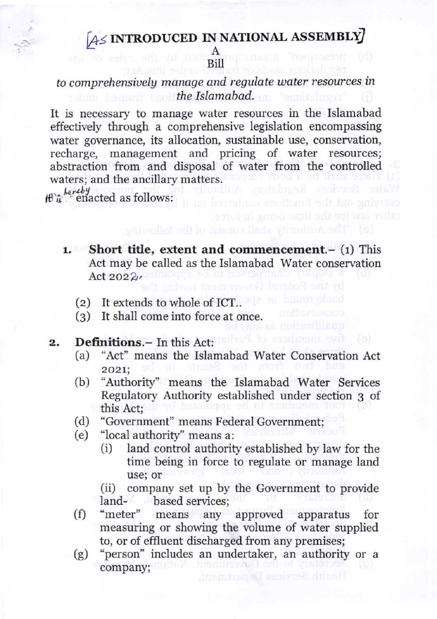## $A \leq NTRODUCED$  IN NATIONAL ASSEMBLY

A Bill

## to comprehensiuely manage and regulate water resources in the Islamabad.

It is necessary to manage water resources in the Islamabad effectively through a comprehensive legislation encompassing water governance, its allocation, sustainable use, conservation, recharge, management and pricing of water resources; abstraction from and disposal of water from the controlled waters; and the ancillary matters.

 $\bigoplus_{k\in\mathbb{Z}} \frac{key}{k}$  enacted as follows:

- 1. Short title, extent and commencement. $-$  (1) This Act may be called as the Islamabad Water conservation Act 2022),
	- (z) It extends to whole of ICT..
	- (3) It shall come into force at once.
- $2.$
- Definitions.- In this Act:<br>(a) "Act" means the Islamabad Water Conservation Act 202L;
	- [b) "Authority' means the Is]amabad Water Services Regulatory Authority established under section 3 of
	-
	-
	- the "Government" means Federal Government;<br>
	(b) "local authority" means a:<br>
	(i) land control authority established by law for the time being in force to regulate or manage land

use; or<br>
(ii) company set up by the Government to provide<br>
land-<br>
(f) "meter" means any approved apparatus for

measuring or showing the volume of water supplied to, or of efiluent discharged from any premises;

(g) "person" includes an undertaker, an authority or <sup>a</sup> company;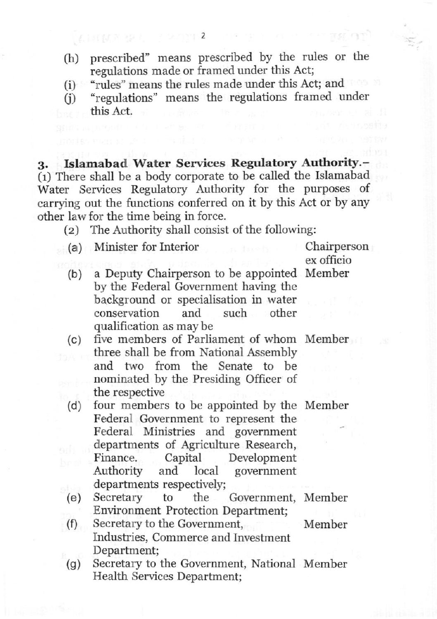- (h) prescribed" means prescribed by the rules or the regulations made or framed under this Act;
- "rules" means the rules made under this Act; and (i)
- "regulations" means the regulations framed under this AcL  $(i)$

g. Islarnabad Water Services Regulatory Authority.- (1) There shall be a body corporate to be called the Islamabad Water Services Regulatory Authority for the purposes of carrying out the functions conferred on it by this Act or by any other law for the time being in force.

- (2) The Authority shall consist of the following:
- (a) Minister for Interior Chairperson

ex officio

- (b) a Deputy Chairperson to be appointed Member by the Federal Government having the background or specialisation in water conservation and such other<br>qualification as may be
- (c) five members of Parliament of whom Member three shall be from National Assembly and two from the Senate to be nominated by the Presiding Officer of the respective
- (d) four members to be appointed by the Member Federal Government to represent the Federal Ministries and government departments of Agriculture Research, Finance. Capital Development<br>Authority and local government Authority and local government<br>departments respectively;
- (e) Secretary to the Government, Member Environment Protection Department; (f) Secretary to the Government, Member
- Industries, Commerce and Investment Department;
- (g) Secretary to the Government, National Member Health Services Department;